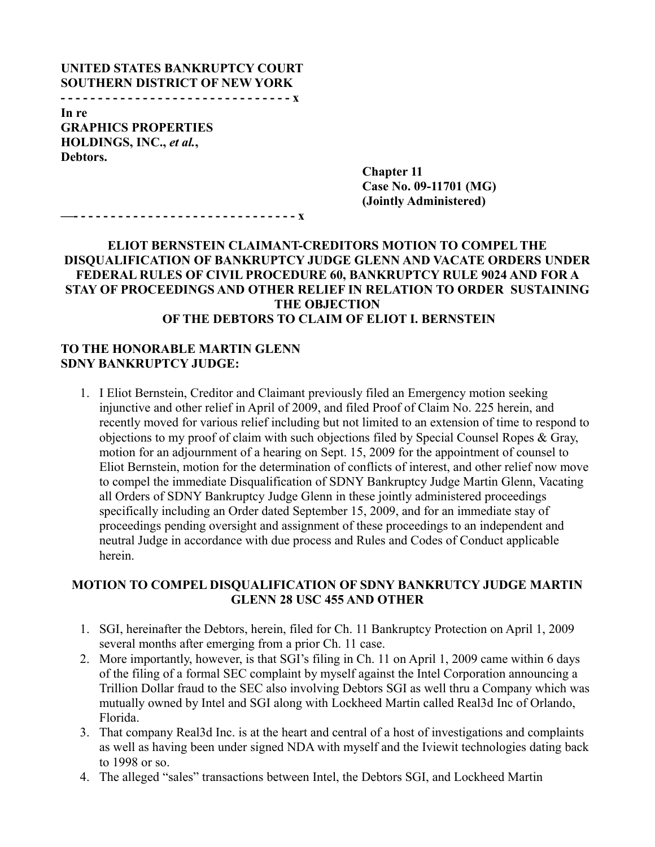#### **UNITED STATES BANKRUPTCY COURT SOUTHERN DISTRICT OF NEW YORK - - - - - - - - - - - - - - - - - - - - - - - - - - - - - - - x**

**In re GRAPHICS PROPERTIES HOLDINGS, INC.,** *et al.***, Debtors.**

> **Chapter 11 Case No. 09-11701 (MG) (Jointly Administered)**

**—- - - - - - - - - - - - - - - - - - - - - - - - - - - - - - x**

### **ELIOT BERNSTEIN CLAIMANT-CREDITORS MOTION TO COMPEL THE DISQUALIFICATION OF BANKRUPTCY JUDGE GLENN AND VACATE ORDERS UNDER FEDERAL RULES OF CIVIL PROCEDURE 60, BANKRUPTCY RULE 9024 AND FOR A STAY OF PROCEEDINGS AND OTHER RELIEF IN RELATION TO ORDER SUSTAINING THE OBJECTION OF THE DEBTORS TO CLAIM OF ELIOT I. BERNSTEIN**

### **TO THE HONORABLE MARTIN GLENN SDNY BANKRUPTCY JUDGE:**

1. I Eliot Bernstein, Creditor and Claimant previously filed an Emergency motion seeking injunctive and other relief in April of 2009, and filed Proof of Claim No. 225 herein, and recently moved for various relief including but not limited to an extension of time to respond to objections to my proof of claim with such objections filed by Special Counsel Ropes & Gray, motion for an adjournment of a hearing on Sept. 15, 2009 for the appointment of counsel to Eliot Bernstein, motion for the determination of conflicts of interest, and other relief now move to compel the immediate Disqualification of SDNY Bankruptcy Judge Martin Glenn, Vacating all Orders of SDNY Bankruptcy Judge Glenn in these jointly administered proceedings specifically including an Order dated September 15, 2009, and for an immediate stay of proceedings pending oversight and assignment of these proceedings to an independent and neutral Judge in accordance with due process and Rules and Codes of Conduct applicable herein.

### **MOTION TO COMPEL DISQUALIFICATION OF SDNY BANKRUTCY JUDGE MARTIN GLENN 28 USC 455 AND OTHER**

- 1. SGI, hereinafter the Debtors, herein, filed for Ch. 11 Bankruptcy Protection on April 1, 2009 several months after emerging from a prior Ch. 11 case.
- 2. More importantly, however, is that SGI's filing in Ch. 11 on April 1, 2009 came within 6 days of the filing of a formal SEC complaint by myself against the Intel Corporation announcing a Trillion Dollar fraud to the SEC also involving Debtors SGI as well thru a Company which was mutually owned by Intel and SGI along with Lockheed Martin called Real3d Inc of Orlando, Florida.
- 3. That company Real3d Inc. is at the heart and central of a host of investigations and complaints as well as having been under signed NDA with myself and the Iviewit technologies dating back to 1998 or so.
- 4. The alleged "sales" transactions between Intel, the Debtors SGI, and Lockheed Martin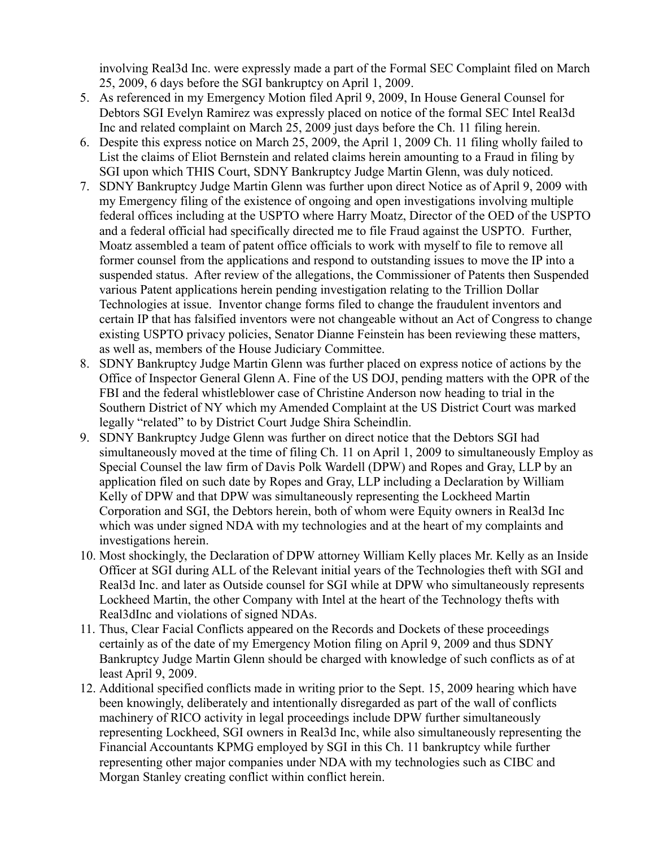involving Real3d Inc. were expressly made a part of the Formal SEC Complaint filed on March 25, 2009, 6 days before the SGI bankruptcy on April 1, 2009.

- 5. As referenced in my Emergency Motion filed April 9, 2009, In House General Counsel for Debtors SGI Evelyn Ramirez was expressly placed on notice of the formal SEC Intel Real3d Inc and related complaint on March 25, 2009 just days before the Ch. 11 filing herein.
- 6. Despite this express notice on March 25, 2009, the April 1, 2009 Ch. 11 filing wholly failed to List the claims of Eliot Bernstein and related claims herein amounting to a Fraud in filing by SGI upon which THIS Court, SDNY Bankruptcy Judge Martin Glenn, was duly noticed.
- 7. SDNY Bankruptcy Judge Martin Glenn was further upon direct Notice as of April 9, 2009 with my Emergency filing of the existence of ongoing and open investigations involving multiple federal offices including at the USPTO where Harry Moatz, Director of the OED of the USPTO and a federal official had specifically directed me to file Fraud against the USPTO. Further, Moatz assembled a team of patent office officials to work with myself to file to remove all former counsel from the applications and respond to outstanding issues to move the IP into a suspended status. After review of the allegations, the Commissioner of Patents then Suspended various Patent applications herein pending investigation relating to the Trillion Dollar Technologies at issue. Inventor change forms filed to change the fraudulent inventors and certain IP that has falsified inventors were not changeable without an Act of Congress to change existing USPTO privacy policies, Senator Dianne Feinstein has been reviewing these matters, as well as, members of the House Judiciary Committee.
- 8. SDNY Bankruptcy Judge Martin Glenn was further placed on express notice of actions by the Office of Inspector General Glenn A. Fine of the US DOJ, pending matters with the OPR of the FBI and the federal whistleblower case of Christine Anderson now heading to trial in the Southern District of NY which my Amended Complaint at the US District Court was marked legally "related" to by District Court Judge Shira Scheindlin.
- 9. SDNY Bankruptcy Judge Glenn was further on direct notice that the Debtors SGI had simultaneously moved at the time of filing Ch. 11 on April 1, 2009 to simultaneously Employ as Special Counsel the law firm of Davis Polk Wardell (DPW) and Ropes and Gray, LLP by an application filed on such date by Ropes and Gray, LLP including a Declaration by William Kelly of DPW and that DPW was simultaneously representing the Lockheed Martin Corporation and SGI, the Debtors herein, both of whom were Equity owners in Real3d Inc which was under signed NDA with my technologies and at the heart of my complaints and investigations herein.
- 10. Most shockingly, the Declaration of DPW attorney William Kelly places Mr. Kelly as an Inside Officer at SGI during ALL of the Relevant initial years of the Technologies theft with SGI and Real3d Inc. and later as Outside counsel for SGI while at DPW who simultaneously represents Lockheed Martin, the other Company with Intel at the heart of the Technology thefts with Real3dInc and violations of signed NDAs.
- 11. Thus, Clear Facial Conflicts appeared on the Records and Dockets of these proceedings certainly as of the date of my Emergency Motion filing on April 9, 2009 and thus SDNY Bankruptcy Judge Martin Glenn should be charged with knowledge of such conflicts as of at least April 9, 2009.
- 12. Additional specified conflicts made in writing prior to the Sept. 15, 2009 hearing which have been knowingly, deliberately and intentionally disregarded as part of the wall of conflicts machinery of RICO activity in legal proceedings include DPW further simultaneously representing Lockheed, SGI owners in Real3d Inc, while also simultaneously representing the Financial Accountants KPMG employed by SGI in this Ch. 11 bankruptcy while further representing other major companies under NDA with my technologies such as CIBC and Morgan Stanley creating conflict within conflict herein.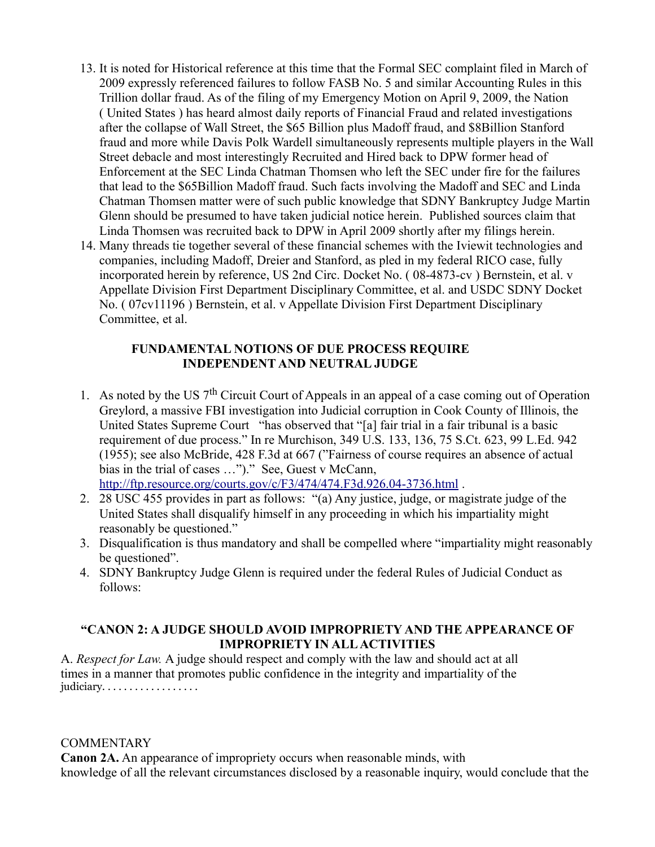- 13. It is noted for Historical reference at this time that the Formal SEC complaint filed in March of 2009 expressly referenced failures to follow FASB No. 5 and similar Accounting Rules in this Trillion dollar fraud. As of the filing of my Emergency Motion on April 9, 2009, the Nation ( United States ) has heard almost daily reports of Financial Fraud and related investigations after the collapse of Wall Street, the \$65 Billion plus Madoff fraud, and \$8Billion Stanford fraud and more while Davis Polk Wardell simultaneously represents multiple players in the Wall Street debacle and most interestingly Recruited and Hired back to DPW former head of Enforcement at the SEC Linda Chatman Thomsen who left the SEC under fire for the failures that lead to the \$65Billion Madoff fraud. Such facts involving the Madoff and SEC and Linda Chatman Thomsen matter were of such public knowledge that SDNY Bankruptcy Judge Martin Glenn should be presumed to have taken judicial notice herein. Published sources claim that Linda Thomsen was recruited back to DPW in April 2009 shortly after my filings herein.
- 14. Many threads tie together several of these financial schemes with the Iviewit technologies and companies, including Madoff, Dreier and Stanford, as pled in my federal RICO case, fully incorporated herein by reference, US 2nd Circ. Docket No. ( 08-4873-cv ) Bernstein, et al. v Appellate Division First Department Disciplinary Committee, et al. and USDC SDNY Docket No. ( 07cv11196 ) Bernstein, et al. v Appellate Division First Department Disciplinary Committee, et al.

# **FUNDAMENTAL NOTIONS OF DUE PROCESS REQUIRE INDEPENDENT AND NEUTRAL JUDGE**

- 1. As noted by the US  $7<sup>th</sup>$  Circuit Court of Appeals in an appeal of a case coming out of Operation Greylord, a massive FBI investigation into Judicial corruption in Cook County of Illinois, the United States Supreme Court "has observed that "[a] fair trial in a fair tribunal is a basic requirement of due process." In re Murchison, 349 U.S. 133, 136, 75 S.Ct. 623, 99 L.Ed. 942 (1955); see also McBride, 428 F.3d at 667 ("Fairness of course requires an absence of actual bias in the trial of cases …")." See, Guest v McCann, <http://ftp.resource.org/courts.gov/c/F3/474/474.F3d.926.04-3736.html> .
- 2. 28 USC 455 provides in part as follows: "(a) Any justice, judge, or magistrate judge of the United States shall disqualify himself in any proceeding in which his impartiality might reasonably be questioned."
- 3. Disqualification is thus mandatory and shall be compelled where "impartiality might reasonably be questioned".
- 4. SDNY Bankruptcy Judge Glenn is required under the federal Rules of Judicial Conduct as follows:

# **"CANON 2: A JUDGE SHOULD AVOID IMPROPRIETY AND THE APPEARANCE OF IMPROPRIETY IN ALL ACTIVITIES**

A. *Respect for Law.* A judge should respect and comply with the law and should act at all times in a manner that promotes public confidence in the integrity and impartiality of the judiciary. . . . . . . . . . . . . . . . . .

# **COMMENTARY**

**Canon 2A.** An appearance of impropriety occurs when reasonable minds, with knowledge of all the relevant circumstances disclosed by a reasonable inquiry, would conclude that the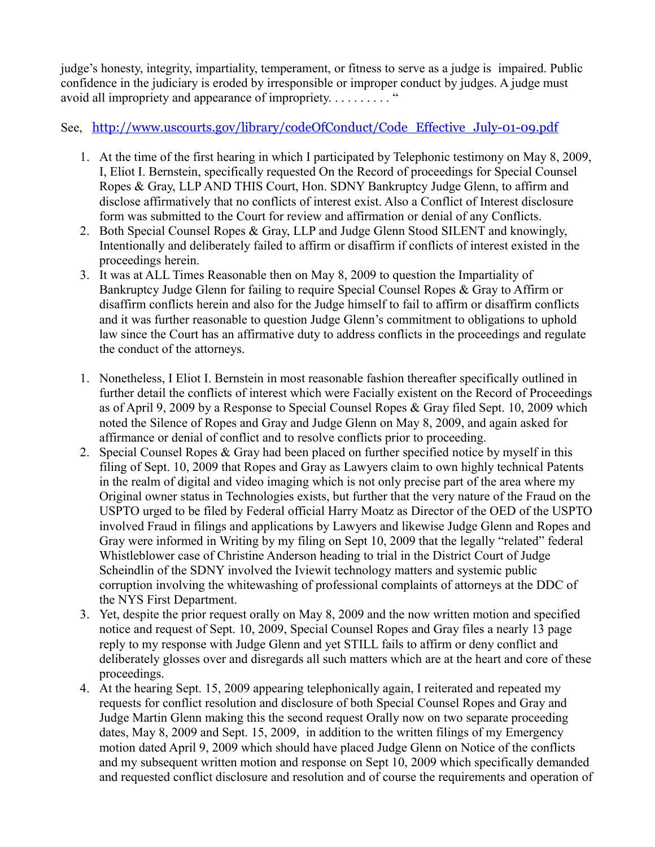judge's honesty, integrity, impartiality, temperament, or fitness to serve as a judge is impaired. Public confidence in the judiciary is eroded by irresponsible or improper conduct by judges. A judge must avoid all impropriety and appearance of impropriety. . . . . . . . . . "

# See, [http://www.uscourts.gov/library/codeOfConduct/Code\\_Effective\\_July-01-09.pdf](http://www.uscourts.gov/library/codeOfConduct/Code_Effective_July-01-09.pdf)

- 1. At the time of the first hearing in which I participated by Telephonic testimony on May 8, 2009, I, Eliot I. Bernstein, specifically requested On the Record of proceedings for Special Counsel Ropes & Gray, LLP AND THIS Court, Hon. SDNY Bankruptcy Judge Glenn, to affirm and disclose affirmatively that no conflicts of interest exist. Also a Conflict of Interest disclosure form was submitted to the Court for review and affirmation or denial of any Conflicts.
- 2. Both Special Counsel Ropes & Gray, LLP and Judge Glenn Stood SILENT and knowingly, Intentionally and deliberately failed to affirm or disaffirm if conflicts of interest existed in the proceedings herein.
- 3. It was at ALL Times Reasonable then on May 8, 2009 to question the Impartiality of Bankruptcy Judge Glenn for failing to require Special Counsel Ropes & Gray to Affirm or disaffirm conflicts herein and also for the Judge himself to fail to affirm or disaffirm conflicts and it was further reasonable to question Judge Glenn's commitment to obligations to uphold law since the Court has an affirmative duty to address conflicts in the proceedings and regulate the conduct of the attorneys.
- 1. Nonetheless, I Eliot I. Bernstein in most reasonable fashion thereafter specifically outlined in further detail the conflicts of interest which were Facially existent on the Record of Proceedings as of April 9, 2009 by a Response to Special Counsel Ropes & Gray filed Sept. 10, 2009 which noted the Silence of Ropes and Gray and Judge Glenn on May 8, 2009, and again asked for affirmance or denial of conflict and to resolve conflicts prior to proceeding.
- 2. Special Counsel Ropes & Gray had been placed on further specified notice by myself in this filing of Sept. 10, 2009 that Ropes and Gray as Lawyers claim to own highly technical Patents in the realm of digital and video imaging which is not only precise part of the area where my Original owner status in Technologies exists, but further that the very nature of the Fraud on the USPTO urged to be filed by Federal official Harry Moatz as Director of the OED of the USPTO involved Fraud in filings and applications by Lawyers and likewise Judge Glenn and Ropes and Gray were informed in Writing by my filing on Sept 10, 2009 that the legally "related" federal Whistleblower case of Christine Anderson heading to trial in the District Court of Judge Scheindlin of the SDNY involved the Iviewit technology matters and systemic public corruption involving the whitewashing of professional complaints of attorneys at the DDC of the NYS First Department.
- 3. Yet, despite the prior request orally on May 8, 2009 and the now written motion and specified notice and request of Sept. 10, 2009, Special Counsel Ropes and Gray files a nearly 13 page reply to my response with Judge Glenn and yet STILL fails to affirm or deny conflict and deliberately glosses over and disregards all such matters which are at the heart and core of these proceedings.
- 4. At the hearing Sept. 15, 2009 appearing telephonically again, I reiterated and repeated my requests for conflict resolution and disclosure of both Special Counsel Ropes and Gray and Judge Martin Glenn making this the second request Orally now on two separate proceeding dates, May 8, 2009 and Sept. 15, 2009, in addition to the written filings of my Emergency motion dated April 9, 2009 which should have placed Judge Glenn on Notice of the conflicts and my subsequent written motion and response on Sept 10, 2009 which specifically demanded and requested conflict disclosure and resolution and of course the requirements and operation of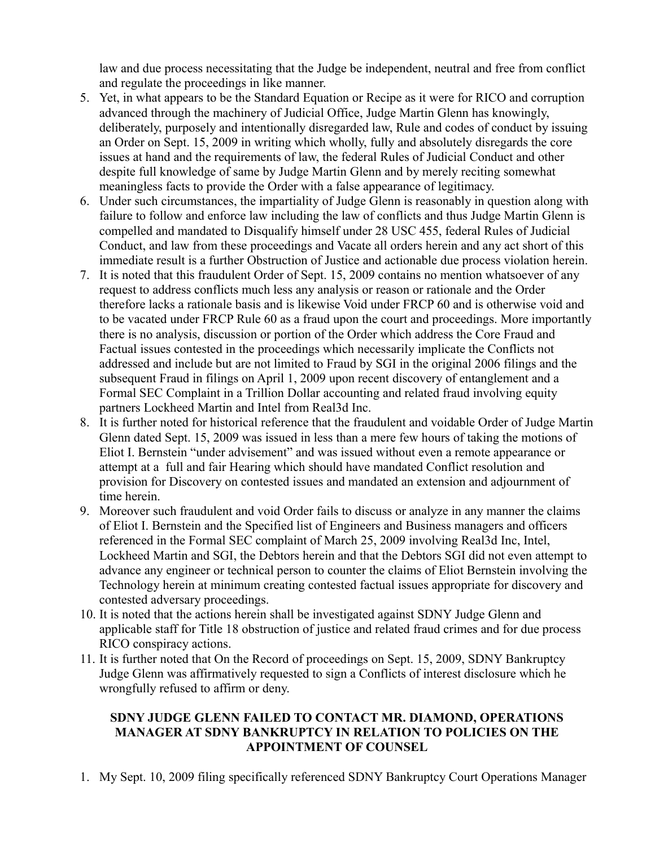law and due process necessitating that the Judge be independent, neutral and free from conflict and regulate the proceedings in like manner.

- 5. Yet, in what appears to be the Standard Equation or Recipe as it were for RICO and corruption advanced through the machinery of Judicial Office, Judge Martin Glenn has knowingly, deliberately, purposely and intentionally disregarded law, Rule and codes of conduct by issuing an Order on Sept. 15, 2009 in writing which wholly, fully and absolutely disregards the core issues at hand and the requirements of law, the federal Rules of Judicial Conduct and other despite full knowledge of same by Judge Martin Glenn and by merely reciting somewhat meaningless facts to provide the Order with a false appearance of legitimacy.
- 6. Under such circumstances, the impartiality of Judge Glenn is reasonably in question along with failure to follow and enforce law including the law of conflicts and thus Judge Martin Glenn is compelled and mandated to Disqualify himself under 28 USC 455, federal Rules of Judicial Conduct, and law from these proceedings and Vacate all orders herein and any act short of this immediate result is a further Obstruction of Justice and actionable due process violation herein.
- 7. It is noted that this fraudulent Order of Sept. 15, 2009 contains no mention whatsoever of any request to address conflicts much less any analysis or reason or rationale and the Order therefore lacks a rationale basis and is likewise Void under FRCP 60 and is otherwise void and to be vacated under FRCP Rule 60 as a fraud upon the court and proceedings. More importantly there is no analysis, discussion or portion of the Order which address the Core Fraud and Factual issues contested in the proceedings which necessarily implicate the Conflicts not addressed and include but are not limited to Fraud by SGI in the original 2006 filings and the subsequent Fraud in filings on April 1, 2009 upon recent discovery of entanglement and a Formal SEC Complaint in a Trillion Dollar accounting and related fraud involving equity partners Lockheed Martin and Intel from Real3d Inc.
- 8. It is further noted for historical reference that the fraudulent and voidable Order of Judge Martin Glenn dated Sept. 15, 2009 was issued in less than a mere few hours of taking the motions of Eliot I. Bernstein "under advisement" and was issued without even a remote appearance or attempt at a full and fair Hearing which should have mandated Conflict resolution and provision for Discovery on contested issues and mandated an extension and adjournment of time herein.
- 9. Moreover such fraudulent and void Order fails to discuss or analyze in any manner the claims of Eliot I. Bernstein and the Specified list of Engineers and Business managers and officers referenced in the Formal SEC complaint of March 25, 2009 involving Real3d Inc, Intel, Lockheed Martin and SGI, the Debtors herein and that the Debtors SGI did not even attempt to advance any engineer or technical person to counter the claims of Eliot Bernstein involving the Technology herein at minimum creating contested factual issues appropriate for discovery and contested adversary proceedings.
- 10. It is noted that the actions herein shall be investigated against SDNY Judge Glenn and applicable staff for Title 18 obstruction of justice and related fraud crimes and for due process RICO conspiracy actions.
- 11. It is further noted that On the Record of proceedings on Sept. 15, 2009, SDNY Bankruptcy Judge Glenn was affirmatively requested to sign a Conflicts of interest disclosure which he wrongfully refused to affirm or deny.

# **SDNY JUDGE GLENN FAILED TO CONTACT MR. DIAMOND, OPERATIONS MANAGER AT SDNY BANKRUPTCY IN RELATION TO POLICIES ON THE APPOINTMENT OF COUNSEL**

1. My Sept. 10, 2009 filing specifically referenced SDNY Bankruptcy Court Operations Manager